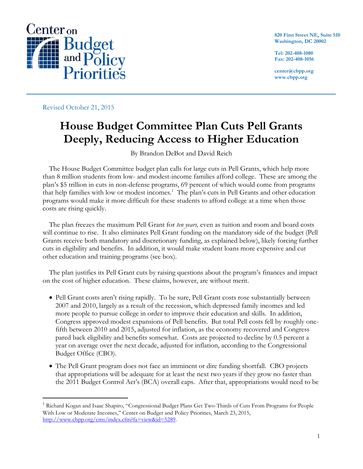

**820 First Street NE, Suite 510 Washington, DC 20002**

**Tel: 202-408-1080 Fax: 202-408-1056**

**center@cbpp.org www.cbpp.org**

Revised October 21, 2015

 $\overline{a}$ 

# **House Budget Committee Plan Cuts Pell Grants Deeply, Reducing Access to Higher Education**

By Brandon DeBot and David Reich

The House Budget Committee budget plan calls for large cuts in Pell Grants, which help more than 8 million students from low- and modest-income families afford college. These are among the plan's \$5 trillion in cuts in non-defense programs, 69 percent of which would come from programs that help families with low or modest incomes.<sup>1</sup> The plan's cuts in Pell Grants and other education programs would make it more difficult for these students to afford college at a time when those costs are rising quickly.

The plan freezes the maximum Pell Grant for *ten years,* even as tuition and room and board costs will continue to rise. It also eliminates Pell Grant funding on the mandatory side of the budget (Pell Grants receive both mandatory and discretionary funding, as explained below), likely forcing further cuts in eligibility and benefits. In addition, it would make student loans more expensive and cut other education and training programs (see box).

The plan justifies its Pell Grant cuts by raising questions about the program's finances and impact on the cost of higher education. These claims, however, are without merit.

- Pell Grant costs aren't rising rapidly. To be sure, Pell Grant costs rose substantially between 2007 and 2010, largely as a result of the recession, which depressed family incomes and led more people to pursue college in order to improve their education and skills. In addition, Congress approved modest expansions of Pell benefits. But total Pell costs fell by roughly onefifth between 2010 and 2015, adjusted for inflation, as the economy recovered and Congress pared back eligibility and benefits somewhat. Costs are projected to decline by 0.5 percent a year on average over the next decade, adjusted for inflation, according to the Congressional Budget Office (CBO).
- The Pell Grant program does not face an imminent or dire funding shortfall. CBO projects that appropriations will be adequate for at least the next two years if they grow no faster than the 2011 Budget Control Act's (BCA) overall caps. After that, appropriations would need to be

<sup>&</sup>lt;sup>1</sup> Richard Kogan and Isaac Shapiro, "Congressional Budget Plans Get Two-Thirds of Cuts From Programs for People With Low or Moderate Incomes," Center on Budget and Policy Priorities, March 23, 2015, [http://www.cbpp.org/cms/index.cfm?fa=view&id=5289.](http://www.cbpp.org/cms/index.cfm?fa=view&id=5289)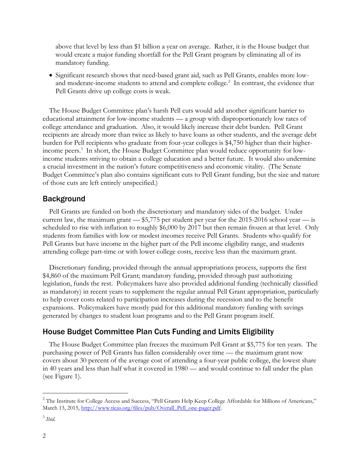above that level by less than \$1 billion a year on average. Rather, it is the House budget that would create a major funding shortfall for the Pell Grant program by eliminating all of its mandatory funding.

 Significant research shows that need-based grant aid, such as Pell Grants, enables more lowand moderate-income students to attend and complete college.<sup>2</sup> In contrast, the evidence that Pell Grants drive up college costs is weak.

The House Budget Committee plan's harsh Pell cuts would add another significant barrier to educational attainment for low-income students — a group with disproportionately low rates of college attendance and graduation. Also, it would likely increase their debt burden. Pell Grant recipients are already more than twice as likely to have loans as other students, and the average debt burden for Pell recipients who graduate from four-year colleges is \$4,750 higher than their higherincome peers.<sup>3</sup> In short, the House Budget Committee plan would reduce opportunity for lowincome students striving to obtain a college education and a better future. It would also undermine a crucial investment in the nation's future competitiveness and economic vitality. (The Senate Budget Committee's plan also contains significant cuts to Pell Grant funding, but the size and nature of those cuts are left entirely unspecified.)

#### Background

Pell Grants are funded on both the discretionary and mandatory sides of the budget. Under current law, the maximum grant  $-$  \$5,775 per student per year for the 2015-2016 school year  $-$  is scheduled to rise with inflation to roughly \$6,000 by 2017 but then remain frozen at that level. Only students from families with low or modest incomes receive Pell Grants. Students who qualify for Pell Grants but have income in the higher part of the Pell income eligibility range, and students attending college part-time or with lower college costs, receive less than the maximum grant.

Discretionary funding, provided through the annual appropriations process, supports the first \$4,860 of the maximum Pell Grant; mandatory funding, provided through past authorizing legislation, funds the rest. Policymakers have also provided additional funding (technically classified as mandatory) in recent years to supplement the regular annual Pell Grant appropriation, particularly to help cover costs related to participation increases during the recession and to the benefit expansions. Policymakers have mostly paid for this additional mandatory funding with savings generated by changes to student loan programs and to the Pell Grant program itself.

## House Budget Committee Plan Cuts Funding and Limits Eligibility

The House Budget Committee plan freezes the maximum Pell Grant at \$5,775 for ten years. The purchasing power of Pell Grants has fallen considerably over time — the maximum grant now covers about 30 percent of the average cost of attending a four-year public college, the lowest share in 40 years and less than half what it covered in 1980 — and would continue to fall under the plan (see Figure 1).

 $\overline{a}$ 

<sup>&</sup>lt;sup>2</sup> The Institute for College Access and Success, "Pell Grants Help Keep College Affordable for Millions of Americans," March 13, 2015, [http://www.ticas.org/files/pub/Overall\\_Pell\\_one-pager.pdf.](http://www.ticas.org/files/pub/Overall_Pell_one-pager.pdf)

<sup>3</sup> *Ibid.*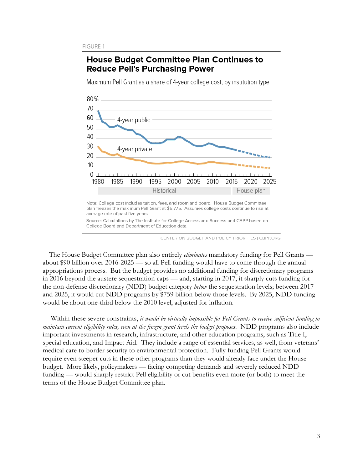## **House Budget Committee Plan Continues to Reduce Pell's Purchasing Power**

Maximum Pell Grant as a share of 4-year college cost, by institution type



Note: College cost includes tuition, fees, and room and board. House Budget Committee plan freezes the maximum Pell Grant at \$5,775. Assumes college costs continue to rise at average rate of past five years.

Source: Calculations by The Institute for College Access and Success and CBPP based on College Board and Department of Education data.

CENTER ON BUDGET AND POLICY PRIORITIES | CBPP.ORG

The House Budget Committee plan also entirely *eliminates* mandatory funding for Pell Grants about \$90 billion over 2016-2025 — so all Pell funding would have to come through the annual appropriations process. But the budget provides no additional funding for discretionary programs in 2016 beyond the austere sequestration caps — and, starting in 2017, it sharply cuts funding for the non-defense discretionary (NDD) budget category *below* the sequestration levels; between 2017 and 2025, it would cut NDD programs by \$759 billion below those levels. By 2025, NDD funding would be about one-third below the 2010 level, adjusted for inflation.

Within these severe constraints, *it would be virtually impossible for Pell Grants to receive sufficient funding to maintain current eligibility rules, even at the frozen grant levels the budget proposes*. NDD programs also include important investments in research, infrastructure, and other education programs, such as Title I, special education, and Impact Aid. They include a range of essential services, as well, from veterans' medical care to border security to environmental protection. Fully funding Pell Grants would require even steeper cuts in these other programs than they would already face under the House budget. More likely, policymakers — facing competing demands and severely reduced NDD funding — would sharply restrict Pell eligibility or cut benefits even more (or both) to meet the terms of the House Budget Committee plan.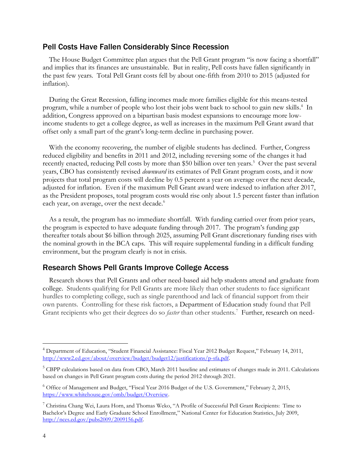### Pell Costs Have Fallen Considerably Since Recession

The House Budget Committee plan argues that the Pell Grant program "is now facing a shortfall" and implies that its finances are unsustainable. But in reality, Pell costs have fallen significantly in the past few years. Total Pell Grant costs fell by about one-fifth from 2010 to 2015 (adjusted for inflation).

During the Great Recession, falling incomes made more families eligible for this means-tested program, while a number of people who lost their jobs went back to school to gain new skills. 4 In addition, Congress approved on a bipartisan basis modest expansions to encourage more lowincome students to get a college degree, as well as increases in the maximum Pell Grant award that offset only a small part of the grant's long-term decline in purchasing power.

With the economy recovering, the number of eligible students has declined. Further, Congress reduced eligibility and benefits in 2011 and 2012, including reversing some of the changes it had recently enacted, reducing Pell costs by more than \$50 billion over ten years.<sup>5</sup> Over the past several years, CBO has consistently revised *downward* its estimates of Pell Grant program costs, and it now projects that total program costs will decline by 0.5 percent a year on average over the next decade, adjusted for inflation. Even if the maximum Pell Grant award were indexed to inflation after 2017, as the President proposes, total program costs would rise only about 1.5 percent faster than inflation each year, on average, over the next decade.<sup>6</sup>

As a result, the program has no immediate shortfall. With funding carried over from prior years, the program is expected to have adequate funding through 2017. The program's funding gap thereafter totals about \$6 billion through 2025, assuming Pell Grant discretionary funding rises with the nominal growth in the BCA caps. This will require supplemental funding in a difficult funding environment, but the program clearly is not in crisis.

## Research Shows Pell Grants Improve College Access

Research shows that Pell Grants and other need-based aid help students attend and graduate from college. Students qualifying for Pell Grants are more likely than other students to face significant hurdles to completing college, such as single parenthood and lack of financial support from their own parents. Controlling for these risk factors, a Department of Education study found that Pell Grant recipients who get their degrees do so *faster* than other students.<sup>7</sup> Further, research on need-

 $\overline{a}$ 

<sup>4</sup> Department of Education, "Student Financial Assistance: Fiscal Year 2012 Budget Request," February 14, 2011, [http://www2.ed.gov/about/overview/budget/budget12/justifications/p-sfa.pdf.](http://www2.ed.gov/about/overview/budget/budget12/justifications/p-sfa.pdf)

<sup>5</sup> CBPP calculations based on data from CBO, March 2011 baseline and estimates of changes made in 2011. Calculations based on changes in Pell Grant program costs during the period 2012 through 2021.

<sup>6</sup> Office of Management and Budget, "Fiscal Year 2016 Budget of the U.S. Government," February 2, 2015, [https://www.whitehouse.gov/omb/budget/Overview.](https://www.whitehouse.gov/omb/budget/Overview)

<sup>&</sup>lt;sup>7</sup> Christina Chang Wei, Laura Horn, and Thomas Weko, "A Profile of Successful Pell Grant Recipients: Time to Bachelor's Degree and Early Graduate School Enrollment," National Center for Education Statistics, July 2009, [http://nces.ed.gov/pubs2009/2009156.pdf.](http://nces.ed.gov/pubs2009/2009156.pdf)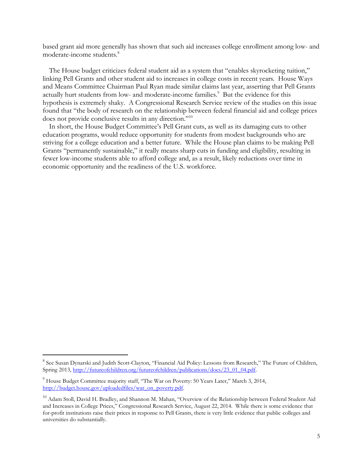based grant aid more generally has shown that such aid increases college enrollment among low- and moderate-income students. 8

The House budget criticizes federal student aid as a system that "enables skyrocketing tuition," linking Pell Grants and other student aid to increases in college costs in recent years. House Ways and Means Committee Chairman Paul Ryan made similar claims last year, asserting that Pell Grants actually hurt students from low- and moderate-income families.<sup>9</sup> But the evidence for this hypothesis is extremely shaky. A Congressional Research Service review of the studies on this issue found that "the body of research on the relationship between federal financial aid and college prices does not provide conclusive results in any direction."<sup>10</sup>

In short, the House Budget Committee's Pell Grant cuts, as well as its damaging cuts to other education programs, would reduce opportunity for students from modest backgrounds who are striving for a college education and a better future. While the House plan claims to be making Pell Grants "permanently sustainable," it really means sharp cuts in funding and eligibility, resulting in fewer low-income students able to afford college and, as a result, likely reductions over time in economic opportunity and the readiness of the U.S. workforce.

 $\overline{a}$ 

<sup>&</sup>lt;sup>8</sup> See Susan Dynarski and Judith Scott-Clayton, "Financial Aid Policy: Lessons from Research," The Future of Children, Spring 2013, [http://futureofchildren.org/futureofchildren/publications/docs/23\\_01\\_04.pdf.](http://futureofchildren.org/futureofchildren/publications/docs/23_01_04.pdf)

<sup>&</sup>lt;sup>9</sup> House Budget Committee majority staff, "The War on Poverty: 50 Years Later," March 3, 2014, [http://budget.house.gov/uploadedfiles/war\\_on\\_poverty.pdf.](http://budget.house.gov/uploadedfiles/war_on_poverty.pdf)

<sup>&</sup>lt;sup>10</sup> Adam Stoll, David H. Bradley, and Shannon M. Mahan, "Overview of the Relationship between Federal Student Aid and Increases in College Prices," Congressional Research Service, August 22, 2014. While there is some evidence that for-profit institutions raise their prices in response to Pell Grants, there is very little evidence that public colleges and universities do substantially.